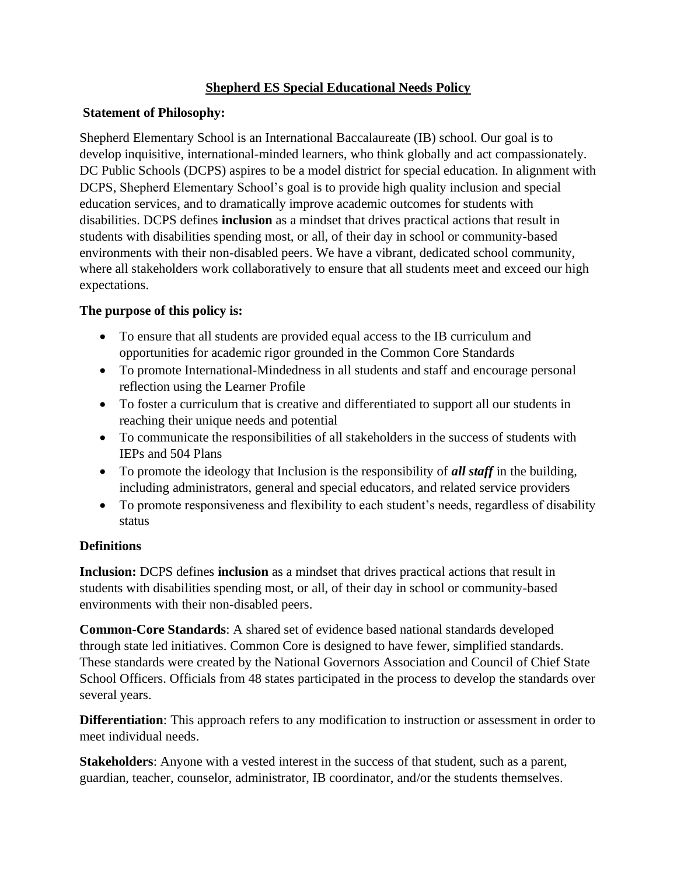# **Shepherd ES Special Educational Needs Policy**

# **Statement of Philosophy:**

Shepherd Elementary School is an International Baccalaureate (IB) school. Our goal is to develop inquisitive, international-minded learners, who think globally and act compassionately. DC Public Schools (DCPS) aspires to be a model district for special education. In alignment with DCPS, Shepherd Elementary School's goal is to provide high quality inclusion and special education services, and to dramatically improve academic outcomes for students with disabilities. DCPS defines **inclusion** as a mindset that drives practical actions that result in students with disabilities spending most, or all, of their day in school or community-based environments with their non-disabled peers. We have a vibrant, dedicated school community, where all stakeholders work collaboratively to ensure that all students meet and exceed our high expectations.

# **The purpose of this policy is:**

- To ensure that all students are provided equal access to the IB curriculum and opportunities for academic rigor grounded in the Common Core Standards
- To promote International-Mindedness in all students and staff and encourage personal reflection using the Learner Profile
- To foster a curriculum that is creative and differentiated to support all our students in reaching their unique needs and potential
- To communicate the responsibilities of all stakeholders in the success of students with IEPs and 504 Plans
- To promote the ideology that Inclusion is the responsibility of *all staff* in the building, including administrators, general and special educators, and related service providers
- To promote responsiveness and flexibility to each student's needs, regardless of disability status

# **Definitions**

**Inclusion:** DCPS defines **inclusion** as a mindset that drives practical actions that result in students with disabilities spending most, or all, of their day in school or community-based environments with their non-disabled peers.

**Common-Core Standards**: A shared set of evidence based national standards developed through state led initiatives. Common Core is designed to have fewer, simplified standards. These standards were created by the National Governors Association and Council of Chief State School Officers. Officials from 48 states participated in the process to develop the standards over several years.

**Differentiation**: This approach refers to any modification to instruction or assessment in order to meet individual needs.

**Stakeholders**: Anyone with a vested interest in the success of that student, such as a parent, guardian, teacher, counselor, administrator, IB coordinator, and/or the students themselves.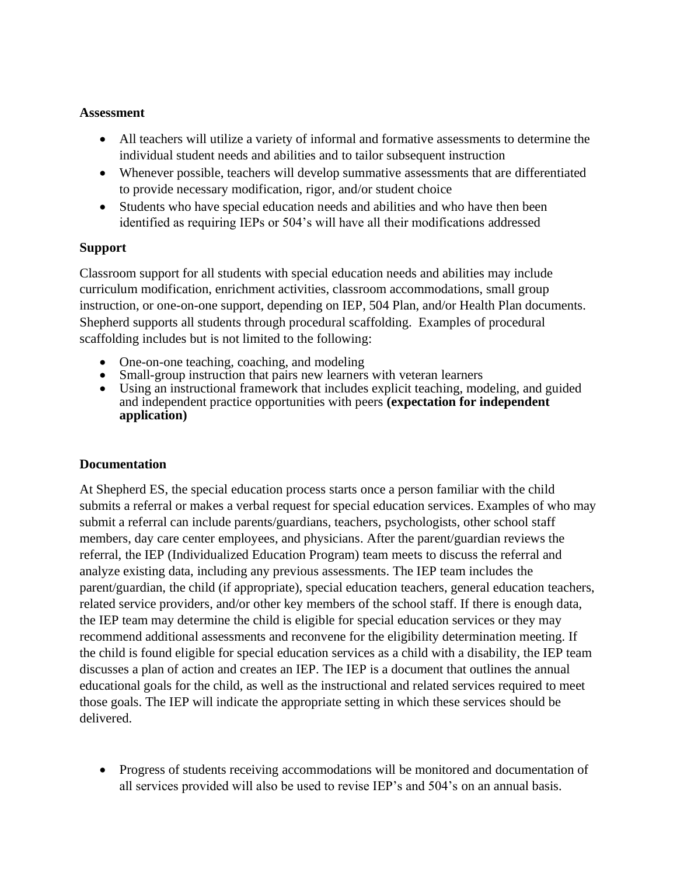### **Assessment**

- All teachers will utilize a variety of informal and formative assessments to determine the individual student needs and abilities and to tailor subsequent instruction
- Whenever possible, teachers will develop summative assessments that are differentiated to provide necessary modification, rigor, and/or student choice
- Students who have special education needs and abilities and who have then been identified as requiring IEPs or 504's will have all their modifications addressed

#### **Support**

Classroom support for all students with special education needs and abilities may include curriculum modification, enrichment activities, classroom accommodations, small group instruction, or one-on-one support, depending on IEP, 504 Plan, and/or Health Plan documents. Shepherd supports all students through procedural scaffolding. Examples of procedural scaffolding includes but is not limited to the following:

- One-on-one teaching, coaching, and modeling
- Small-group instruction that pairs new learners with veteran learners
- Using an instructional framework that includes explicit teaching, modeling, and guided and independent practice opportunities with peers **(expectation for independent application)**

#### **Documentation**

At Shepherd ES, the special education process starts once a person familiar with the child submits a referral or makes a verbal request for special education services. Examples of who may submit a referral can include parents/guardians, teachers, psychologists, other school staff members, day care center employees, and physicians. After the parent/guardian reviews the referral, the IEP (Individualized Education Program) team meets to discuss the referral and analyze existing data, including any previous assessments. The IEP team includes the parent/guardian, the child (if appropriate), special education teachers, general education teachers, related service providers, and/or other key members of the school staff. If there is enough data, the IEP team may determine the child is eligible for special education services or they may recommend additional assessments and reconvene for the eligibility determination meeting. If the child is found eligible for special education services as a child with a disability, the IEP team discusses a plan of action and creates an IEP. The IEP is a document that outlines the annual educational goals for the child, as well as the instructional and related services required to meet those goals. The IEP will indicate the appropriate setting in which these services should be delivered.

• Progress of students receiving accommodations will be monitored and documentation of all services provided will also be used to revise IEP's and 504's on an annual basis.